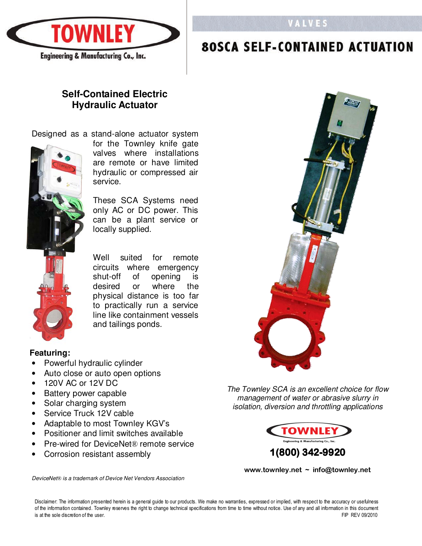

# **VALVES**

#### **SCA SELF-CONTAIN**

# **Self-Contained Electric Hydraulic Actuator**

## Designed as a stand-alone actuator system



for the Townley knife gate valves where installations are remote or have limited hydraulic or compressed air service.

These SCA Systems need only AC or DC power. This can be a plant service or locally supplied.

Well suited for remote circuits where emergency shut-off of opening is desired or where the physical distance is too far to practically run a service line like containment vessels and tailings ponds.

#### **Featuring:**

- Powerful hydraulic cylinder
- Auto close or auto open options
- 120V AC or 12V DC
- Battery power capable
- Solar charging system
- Service Truck 12V cable
- Adaptable to most Townley KGV's
- Positioner and limit switches available
- Pre-wired for DeviceNet® remote service
- Corrosion resistant assembly

The Townley SCA is an excellent choice for flow management of water or abrasive slurry in isolation, diversion and throttling applications



**www.townley.net ~ info@townley.net** 

DeviceNet*®* is a trademark of Device Net Vendors Association

Disclaimer: The information presented herein is a general guide to our products. We make no warranties, expressed or implied, with respect to the accuracy or usefulness of the information contained. Townley reserves the right to change technical specifications from time to time without notice. Use of any and all information in this document is at the sole discretion of the user.<br>FIP REV 0 is at the sole discretion of the user.